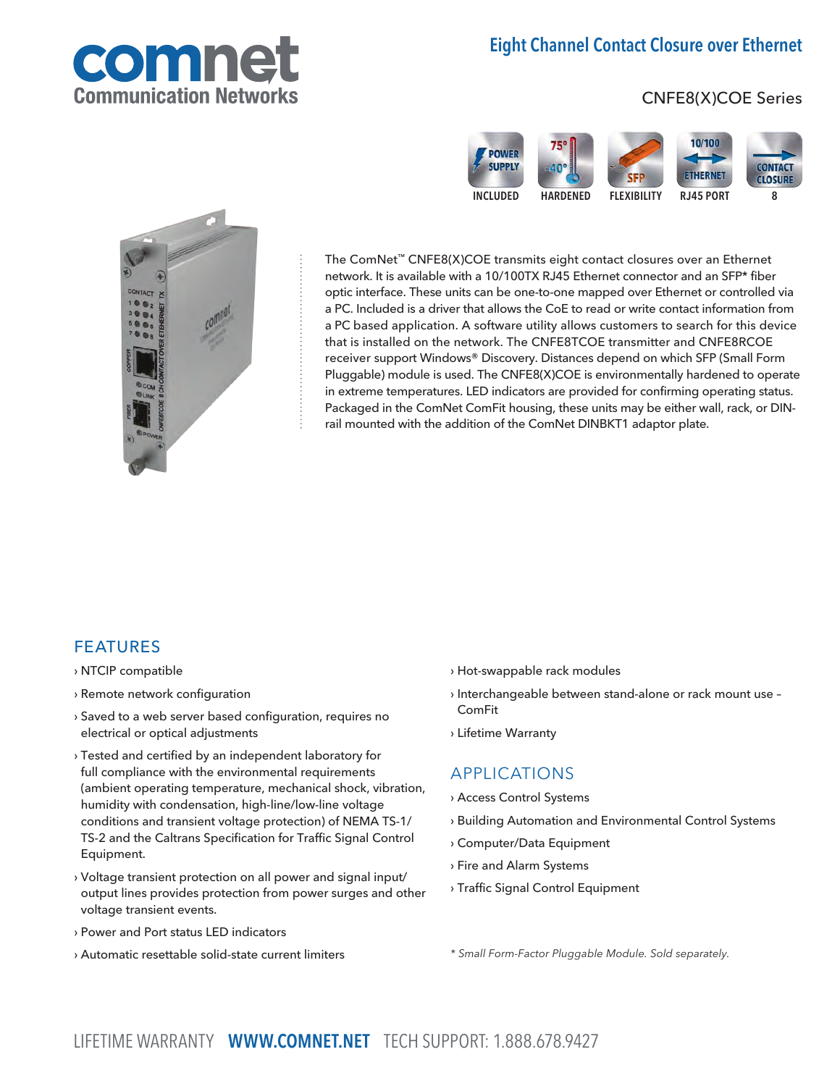# Eight Channel Contact Closure over Ethernet



# CNFE8(X)COE Series





The ComNet™ CNFE8(X)COE transmits eight contact closures over an Ethernet network. It is available with a 10/100TX RJ45 Ethernet connector and an SFP\* fiber optic interface. These units can be one-to-one mapped over Ethernet or controlled via a PC. Included is a driver that allows the CoE to read or write contact information from a PC based application. A software utility allows customers to search for this device that is installed on the network. The CNFE8TCOE transmitter and CNFE8RCOE receiver support Windows® Discovery. Distances depend on which SFP (Small Form Pluggable) module is used. The CNFE8(X)COE is environmentally hardened to operate in extreme temperatures. LED indicators are provided for confirming operating status. Packaged in the ComNet ComFit housing, these units may be either wall, rack, or DINrail mounted with the addition of the ComNet DINBKT1 adaptor plate.

# FEATURES

- › NTCIP compatible
- › Remote network configuration
- › Saved to a web server based configuration, requires no electrical or optical adjustments
- › Tested and certified by an independent laboratory for full compliance with the environmental requirements (ambient operating temperature, mechanical shock, vibration, humidity with condensation, high-line/low-line voltage conditions and transient voltage protection) of NEMA TS-1/ TS-2 and the Caltrans Specification for Traffic Signal Control Equipment.
- › Voltage transient protection on all power and signal input/ output lines provides protection from power surges and other voltage transient events.
- › Power and Port status LED indicators
- › Automatic resettable solid-state current limiters
- › Hot-swappable rack modules
- › Interchangeable between stand-alone or rack mount use ComFit
- › Lifetime Warranty

### APPLICATIONS

- › Access Control Systems
- › Building Automation and Environmental Control Systems
- › Computer/Data Equipment
- › Fire and Alarm Systems
- › Traffic Signal Control Equipment

\* Small Form-Factor Pluggable Module. Sold separately.